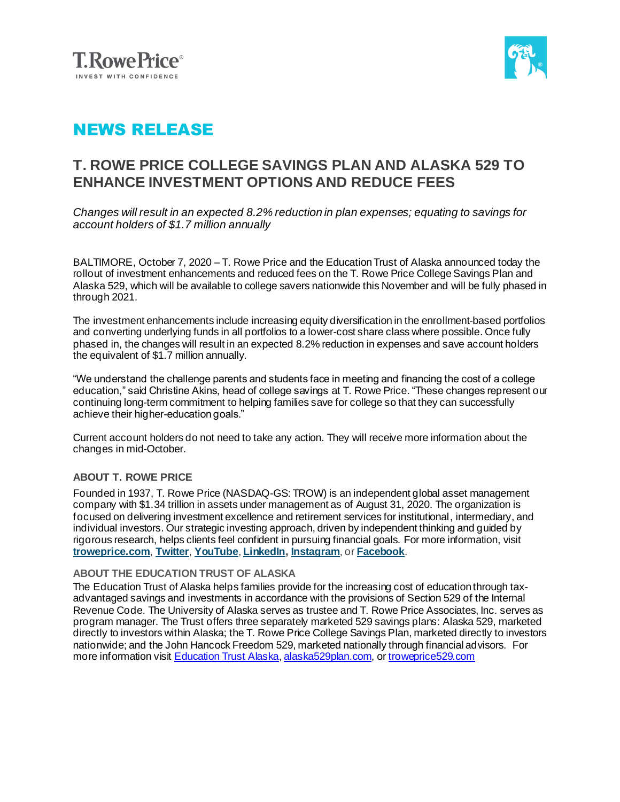



# NEWS RELEASE

## **T. ROWE PRICE COLLEGE SAVINGS PLAN AND ALASKA 529 TO ENHANCE INVESTMENT OPTIONS AND REDUCE FEES**

*Changes will result in an expected 8.2% reduction in plan expenses; equating to savings for account holders of \$1.7 million annually*

BALTIMORE, October 7, 2020 – T. Rowe Price and the Education Trust of Alaska announced today the rollout of investment enhancements and reduced fees on the T. Rowe Price College Savings Plan and Alaska 529, which will be available to college savers nationwide this November and will be fully phased in through 2021.

The investment enhancements include increasing equity diversification in the enrollment-based portfolios and converting underlying funds in all portfolios to a lower-cost share class where possible. Once fully phased in, the changes will result in an expected 8.2% reduction in expenses and save account holders the equivalent of \$1.7 million annually.

"We understand the challenge parents and students face in meeting and financing the cost of a college education," said Christine Akins, head of college savings at T. Rowe Price. "These changes represent our continuing long-term commitment to helping families save for college so that they can successfully achieve their higher-education goals."

Current account holders do not need to take any action. They will receive more information about the changes in mid-October.

### **ABOUT T. ROWE PRICE**

Founded in 1937, T. Rowe Price (NASDAQ-GS: TROW) is an independent global asset management company with \$1.34 trillion in assets under management as of August 31, 2020. The organization is focused on delivering investment excellence and retirement services for institutional, intermediary, and individual investors. Our strategic investing approach, driven by independent thinking and guided by rigorous research, helps clients feel confident in pursuing financial goals. For more information, visit **[troweprice.com](http://www.troweprice.com/)**, **[Twitter](http://www.twitter.com/troweprice)**, **[YouTube](http://www.youtube.com/trowepricegroup)**, **[LinkedIn](http://www.linkedin.com/company/t.-rowe-price)[, Instagram](https://www.instagram.com/t._rowe_price/)**, or **[Facebook](http://www.fb.com/troweprice)**.

### **ABOUT THE EDUCATION TRUST OF ALASKA**

The Education Trust of Alaska helps families provide for the increasing cost of education through taxadvantaged savings and investments in accordance with the provisions of Section 529 of the Internal Revenue Code. The University of Alaska serves as trustee and T. Rowe Price Associates, Inc. serves as program manager. The Trust offers three separately marketed 529 savings plans: Alaska 529, marketed directly to investors within Alaska; the T. Rowe Price College Savings Plan, marketed directly to investors nationwide; and the John Hancock Freedom 529, marketed nationally through financial advisors. For more information visit [Education Trust Alaska](https://www.educationtrustak.com/?_sm_pdc=1&_sm_rid=1SHNRsF5DTTZ5j2VPtsFWW7HSrW1DPRs4Wj3jFH), [alaska529plan.com,](http://alaska529plan.com/) or [troweprice529.com](http://www.troweprice529.com/)